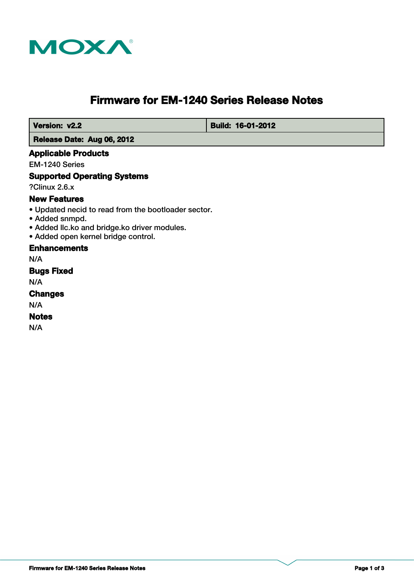

# **Firmware for EM-1240 Series Release Notes**

 **Version: v2.2 Build: 16-01-2012** 

## **Release Date: Aug 06, 2012**

#### **Applicable Products**

EM-1240 Series

#### **Supported Operating Systems**

?Clinux 2.6.x

# **New Features**

- Updated necid to read from the bootloader sector.
- Added snmpd.
- Added llc.ko and bridge.ko driver modules.
- Added open kernel bridge control.

#### **Enhancements**

N/A

#### **Bugs Fixed**

N/A

## **Changes**

N/A

## **Notes**

N/A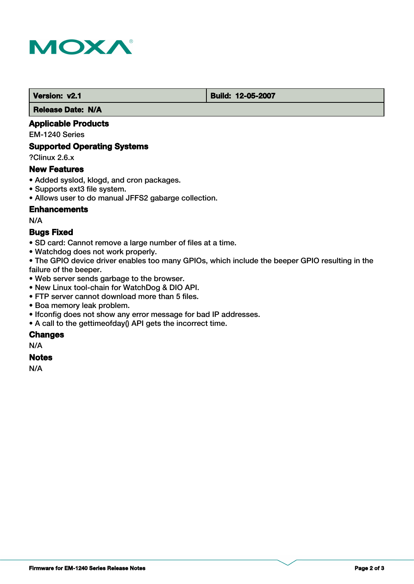

 **Version: v2.1 Build: 12-05-2007**

 **Release Date: N/A**

# **Applicable Products**

EM-1240 Series

## **Supported Operating Systems**

?Clinux 2.6.x

## **New Features**

- Added syslod, klogd, and cron packages.
- Supports ext3 file system.
- Allows user to do manual JFFS2 gabarge collection.

## **Enhancements**

N/A

## **Bugs Fixed**

- SD card: Cannot remove a large number of files at a time.
- Watchdog does not work properly.

• The GPIO device driver enables too many GPIOs, which include the beeper GPIO resulting in the failure of the beeper.

- Web server sends garbage to the browser.
- New Linux tool-chain for WatchDog & DIO API.
- FTP server cannot download more than 5 files.
- Boa memory leak problem.
- Ifconfig does not show any error message for bad IP addresses.
- A call to the gettimeofday() API gets the incorrect time.

## **Changes**

N/A

## **Notes**

N/A